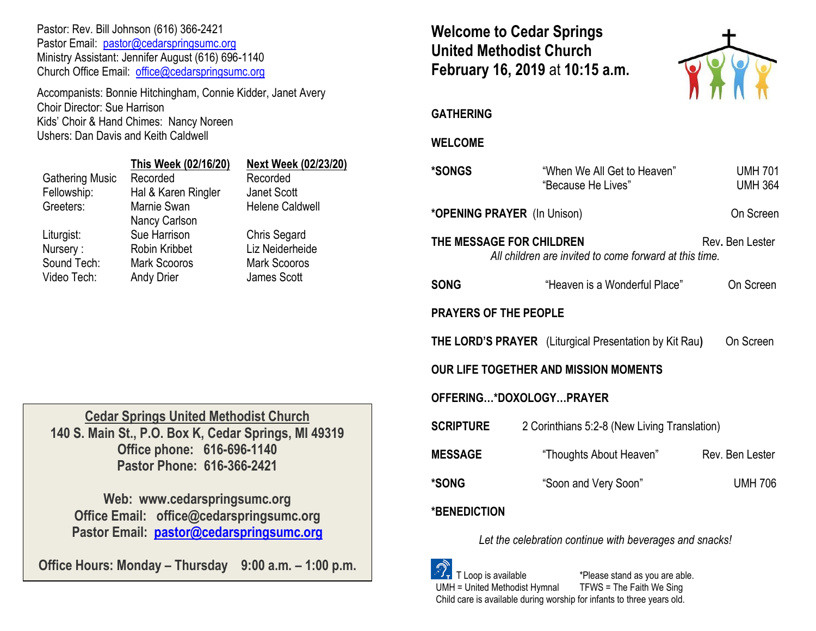Pastor: Rev. Bill Johnson (616) 366-2421 Pastor Email: [pastor@cedarspringsumc.org](mailto:pastor@cedarspringsumc.org) Ministry Assistant: Jennifer August (616) 696-1140 Church Office Email: [office@cedarspringsumc.org](mailto:office@cedarspringsumc.org)

Accompanists: Bonnie Hitchingham, Connie Kidder, Janet Avery Choir Director: Sue Harrison Kids' Choir & Hand Chimes: Nancy Noreen Ushers: Dan Davis and Keith Caldwell

|                        | This Week (02/16/20) | <b>Next Week (02/23/20)</b> |
|------------------------|----------------------|-----------------------------|
| <b>Gathering Music</b> | Recorded             | Recorded                    |
| Fellowship:            | Hal & Karen Ringler  | Janet Scott                 |
| Greeters:              | Marnie Swan          | <b>Helene Caldwell</b>      |
|                        | Nancy Carlson        |                             |
| Liturgist:             | Sue Harrison         | Chris Segard                |
| Nursery:               | <b>Robin Kribbet</b> | Liz Neiderheide             |
| Sound Tech:            | <b>Mark Scooros</b>  | <b>Mark Scooros</b>         |
| Video Tech:            | <b>Andy Drier</b>    | James Scott                 |
|                        |                      |                             |

**Cedar Springs United Methodist Church 140 S. Main St., P.O. Box K, Cedar Springs, MI 49319 Office phone: 616-696-1140 Pastor Phone: 616-366-2421**

**Web: www.cedarspringsumc.org Office Email: office@cedarspringsumc.org Pastor Email: [pastor@cedarspringsumc.org](mailto:pastor@cedarspringsumc.org)**

**Office Hours: Monday – Thursday 9:00 a.m. – 1:00 p.m.**

# **Welcome to Cedar Springs United Methodist Church February 16, 2019** at **10:15 a.m.**



**GATHERING** 

## **WELCOME**

| *SONGS                                                                                                | "When We All Get to Heaven"<br>"Because He Lives"                       | <b>UMH 701</b><br><b>UMH 364</b> |  |  |
|-------------------------------------------------------------------------------------------------------|-------------------------------------------------------------------------|----------------------------------|--|--|
| *OPENING PRAYER (In Unison)                                                                           |                                                                         | On Screen                        |  |  |
| THE MESSAGE FOR CHILDREN<br>Rev. Ben Lester<br>All children are invited to come forward at this time. |                                                                         |                                  |  |  |
| <b>SONG</b>                                                                                           | "Heaven is a Wonderful Place"                                           | On Screen                        |  |  |
| <b>PRAYERS OF THE PEOPLE</b>                                                                          |                                                                         |                                  |  |  |
|                                                                                                       | <b>THE LORD'S PRAYER</b> (Liturgical Presentation by Kit Rau) On Screen |                                  |  |  |
| <b>OUR LIFE TOGETHER AND MISSION MOMENTS</b>                                                          |                                                                         |                                  |  |  |
| OFFERING*DOXOLOGYPRAYER                                                                               |                                                                         |                                  |  |  |
| <b>SCRIPTURE</b>                                                                                      | 2 Corinthians 5:2-8 (New Living Translation)                            |                                  |  |  |
| <b>MESSAGE</b>                                                                                        | "Thoughts About Heaven"                                                 | Rev. Ben Lester                  |  |  |
| *SONG                                                                                                 | "Soon and Very Soon"                                                    | <b>UMH 706</b>                   |  |  |
| *BENEDICTION                                                                                          |                                                                         |                                  |  |  |
|                                                                                                       |                                                                         |                                  |  |  |

*Let the celebration continue with beverages and snacks!*

 T Loop is available \*Please stand as you are able. UMH = United Methodist Hymnal TFWS = The Faith We Sing Child care is available during worship for infants to three years old.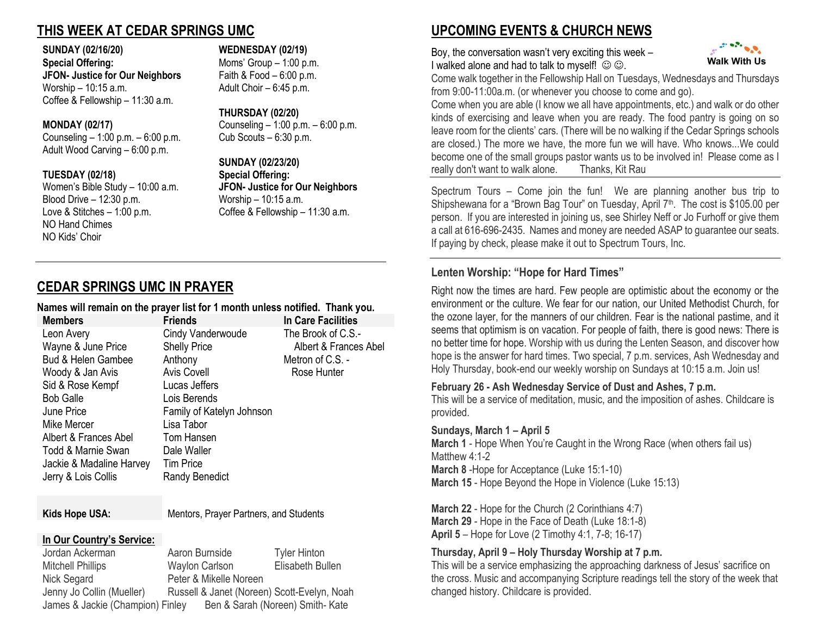# **THIS WEEK AT CEDAR SPRINGS UMC**

#### **SUNDAY (02/16/20) WEDNESDAY (02/19)**

**Special Offering:** Moms' Group – 1:00 p.m. **JFON- Justice for Our Neighbors** Faith & Food – 6:00 p.m. Worship – 10:15 a.m. Adult Choir – 6:45 p.m. Coffee & Fellowship – 11:30 a.m.

Counseling – 1:00 p.m. –  $6:00$  p.m. Adult Wood Carving – 6:00 p.m.

Blood Drive – 12:30 p.m. Worship – 10:15 a.m. Love & Stitches – 1:00 p.m. Coffee & Fellowship – 11:30 a.m. NO Hand Chimes NO Kids' Choir

#### **THURSDAY (02/20)**

**MONDAY (02/17)** Counseling – 1:00 p.m. – 6:00 p.m.

**SUNDAY (02/23/20) TUESDAY (02/18) Special Offering:** Women's Bible Study – 10:00 a.m. **JFON- Justice for Our Neighbors**

# **CEDAR SPRINGS UMC IN PRAYER**

### **Names will remain on the prayer list for 1 month unless notified. Thank you.**

| <b>Members</b>                | <b>Friends</b>            | In Care Facilities    |
|-------------------------------|---------------------------|-----------------------|
| Leon Avery                    | Cindy Vanderwoude         | The Brook of C.S.-    |
| Wayne & June Price            | <b>Shelly Price</b>       | Albert & Frances Abel |
| <b>Bud &amp; Helen Gambee</b> | Anthony                   | Metron of C.S. -      |
| Woody & Jan Avis              | <b>Avis Covell</b>        | Rose Hunter           |
| Sid & Rose Kempf              | Lucas Jeffers             |                       |
| <b>Bob Galle</b>              | Lois Berends              |                       |
| June Price                    | Family of Katelyn Johnson |                       |
| Mike Mercer                   | Lisa Tabor                |                       |
| Albert & Frances Abel         | Tom Hansen                |                       |
| Todd & Marnie Swan            | Dale Waller               |                       |
| Jackie & Madaline Harvey      | <b>Tim Price</b>          |                       |
| Jerry & Lois Collis           | Randy Benedict            |                       |
|                               |                           |                       |

Kids Hope USA: Mentors, Prayer Partners, and Students

### **In Our Country's Service:**

Jordan Ackerman Aaron Burnside Tyler Hinton Mitchell Phillips Waylon Carlson Elisabeth Bullen Nick Segard Peter & Mikelle Noreen Jenny Jo Collin (Mueller) Russell & Janet (Noreen) Scott-Evelyn, Noah James & Jackie (Champion) Finley Ben & Sarah (Noreen) Smith- Kate

# **UPCOMING EVENTS & CHURCH NEWS**

Boy, the conversation wasn't very exciting this week – I walked alone and had to talk to myself!  $\odot \odot$ .



Come walk together in the Fellowship Hall on Tuesdays, Wednesdays and Thursdays from 9:00-11:00a.m. (or whenever you choose to come and go).

Come when you are able (I know we all have appointments, etc.) and walk or do other kinds of exercising and leave when you are ready. The food pantry is going on so leave room for the clients' cars. (There will be no walking if the Cedar Springs schools are closed.) The more we have, the more fun we will have. Who knows...We could become one of the small groups pastor wants us to be involved in! Please come as I really don't want to walk alone. Thanks, Kit Rau

Spectrum Tours – Come join the fun! We are planning another bus trip to Shipshewana for a "Brown Bag Tour" on Tuesday, April 7<sup>th</sup>. The cost is \$105.00 per person. If you are interested in joining us, see Shirley Neff or Jo Furhoff or give them a call at 616-696-2435. Names and money are needed ASAP to guarantee our seats. If paying by check, please make it out to Spectrum Tours, Inc.

# **Lenten Worship: "Hope for Hard Times"**

Right now the times are hard. Few people are optimistic about the economy or the environment or the culture. We fear for our nation, our United Methodist Church, for the ozone layer, for the manners of our children. Fear is the national pastime, and it seems that optimism is on vacation. For people of faith, there is good news: There is no better time for hope. Worship with us during the Lenten Season, and discover how hope is the answer for hard times. Two special, 7 p.m. services, Ash Wednesday and Holy Thursday, book-end our weekly worship on Sundays at 10:15 a.m. Join us!

### **February 26 - Ash Wednesday Service of Dust and Ashes, 7 p.m.**

This will be a service of meditation, music, and the imposition of ashes. Childcare is provided.

### **Sundays, March 1 – April 5**

**March 1** - Hope When You're Caught in the Wrong Race (when others fail us) Matthew 4:1-2 **March 8** -Hope for Acceptance (Luke 15:1-10) **March 15** - Hope Beyond the Hope in Violence (Luke 15:13)

**March 22** - Hope for the Church (2 Corinthians 4:7) **March 29** - Hope in the Face of Death (Luke 18:1-8) **April 5** – Hope for Love (2 Timothy 4:1, 7-8; 16-17)

## **Thursday, April 9 – Holy Thursday Worship at 7 p.m.**

This will be a service emphasizing the approaching darkness of Jesus' sacrifice on the cross. Music and accompanying Scripture readings tell the story of the week that changed history. Childcare is provided.